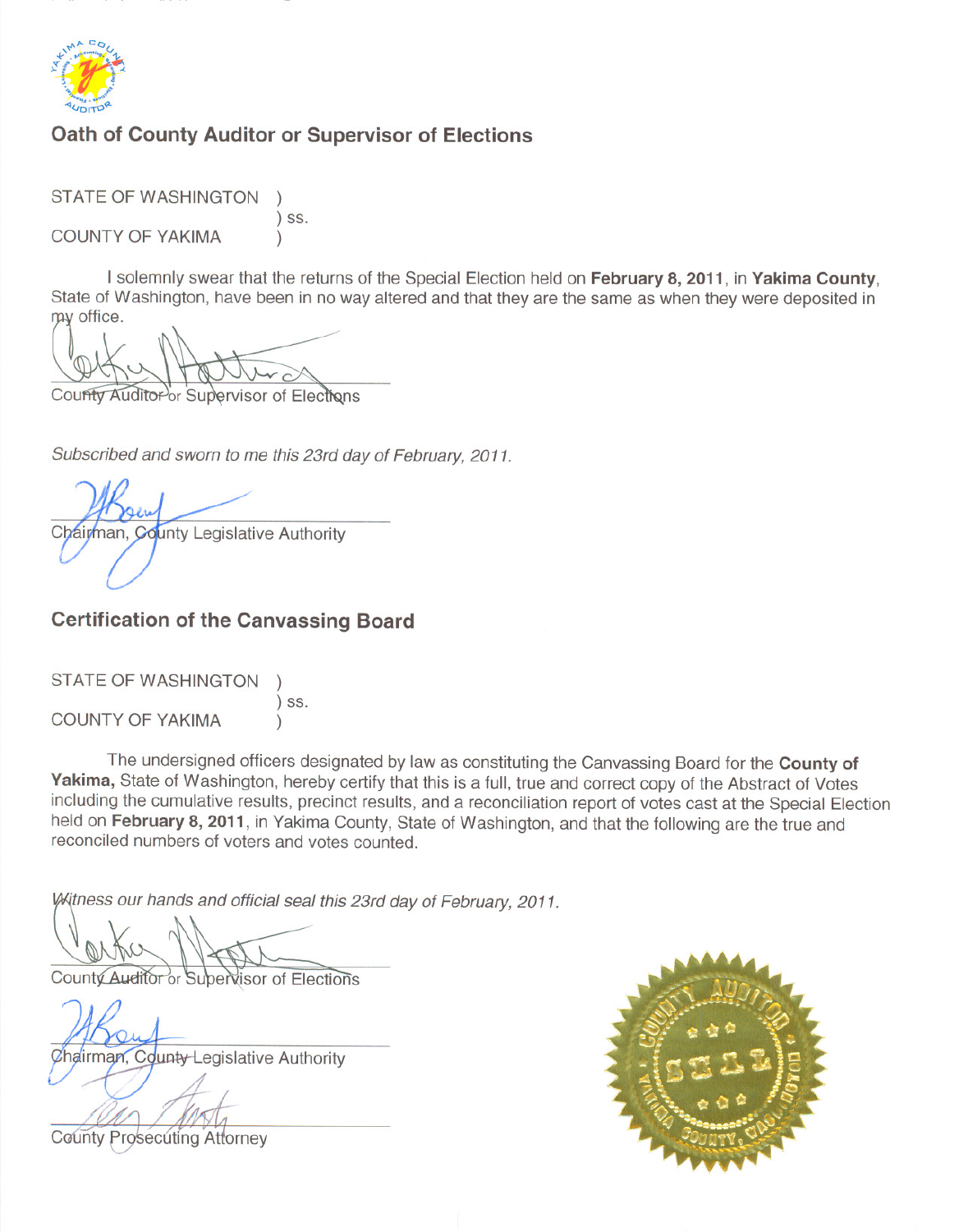

## Oath of County Auditor or Supervisor of Elections

**STATE OF WASHINGTON**  $)$  SS. **COUNTY OF YAKIMA**  $\lambda$ 

I solemnly swear that the returns of the Special Election held on February 8, 2011, in Yakima County, State of Washington, have been in no way altered and that they are the same as when they were deposited in my office.

County Auditor or Supervisor of Elections

Subscribed and sworn to me this 23rd day of February, 2011.

Chairman, County Legislative Authority

## **Certification of the Canvassing Board**

| STATE OF WASHINGTON     |         |
|-------------------------|---------|
| <b>COUNTY OF YAKIMA</b> | $)$ SS. |

The undersigned officers designated by law as constituting the Canvassing Board for the County of Yakima, State of Washington, hereby certify that this is a full, true and correct copy of the Abstract of Votes including the cumulative results, precinct results, and a reconciliation report of votes cast at the Special Election held on February 8, 2011, in Yakima County, State of Washington, and that the following are the true and reconciled numbers of voters and votes counted.

Witness our hands and official seal this 23rd day of February, 2011.

County Auditor or Subervisor of Elections

Chairman, County-Legislative Authority



**County Prosecuting Attorney**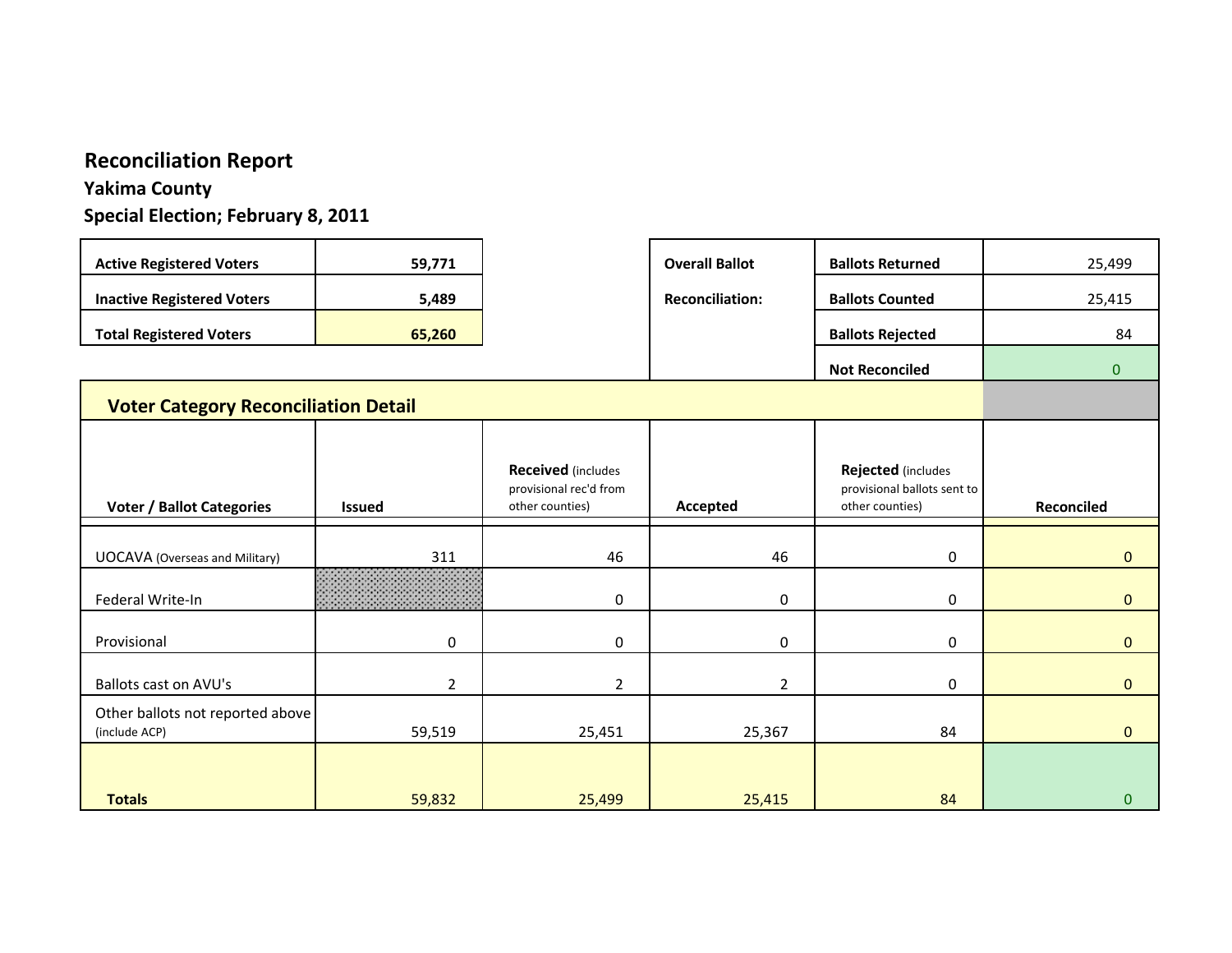# **Reconciliation Report**

# **Yakima County**

**Special Election; February 8, 2011**

| <b>Active Registered Voters</b>                   | 59,771         |                                                                        | <b>Overall Ballot</b>  | <b>Ballots Returned</b>                                              | 25,499         |
|---------------------------------------------------|----------------|------------------------------------------------------------------------|------------------------|----------------------------------------------------------------------|----------------|
| <b>Inactive Registered Voters</b>                 | 5,489          |                                                                        | <b>Reconciliation:</b> | <b>Ballots Counted</b>                                               | 25,415         |
| <b>Total Registered Voters</b>                    | 65,260         |                                                                        |                        | <b>Ballots Rejected</b>                                              | 84             |
|                                                   |                |                                                                        |                        | <b>Not Reconciled</b>                                                | $\overline{0}$ |
| <b>Voter Category Reconciliation Detail</b>       |                |                                                                        |                        |                                                                      |                |
|                                                   |                |                                                                        |                        |                                                                      |                |
| <b>Voter / Ballot Categories</b>                  | <b>Issued</b>  | <b>Received</b> (includes<br>provisional rec'd from<br>other counties) | Accepted               | Rejected (includes<br>provisional ballots sent to<br>other counties) | Reconciled     |
|                                                   |                |                                                                        |                        |                                                                      |                |
| <b>UOCAVA</b> (Overseas and Military)             | 311            | 46                                                                     | 46                     | $\boldsymbol{0}$                                                     | $\mathbf 0$    |
| Federal Write-In                                  |                | $\mathbf 0$                                                            | $\mathbf 0$            | 0                                                                    | $\mathbf{0}$   |
| Provisional                                       | $\mathbf 0$    | $\mathbf 0$                                                            | $\mathbf 0$            | 0                                                                    | $\Omega$       |
| Ballots cast on AVU's                             | $\overline{2}$ | $\overline{2}$                                                         | $\overline{2}$         | 0                                                                    | $\Omega$       |
|                                                   |                |                                                                        |                        |                                                                      |                |
| Other ballots not reported above<br>(include ACP) | 59,519         | 25,451                                                                 | 25,367                 | 84                                                                   | $\mathbf{0}$   |
| <b>Totals</b>                                     | 59,832         | 25,499                                                                 | 25,415                 | 84                                                                   | $\bf{0}$       |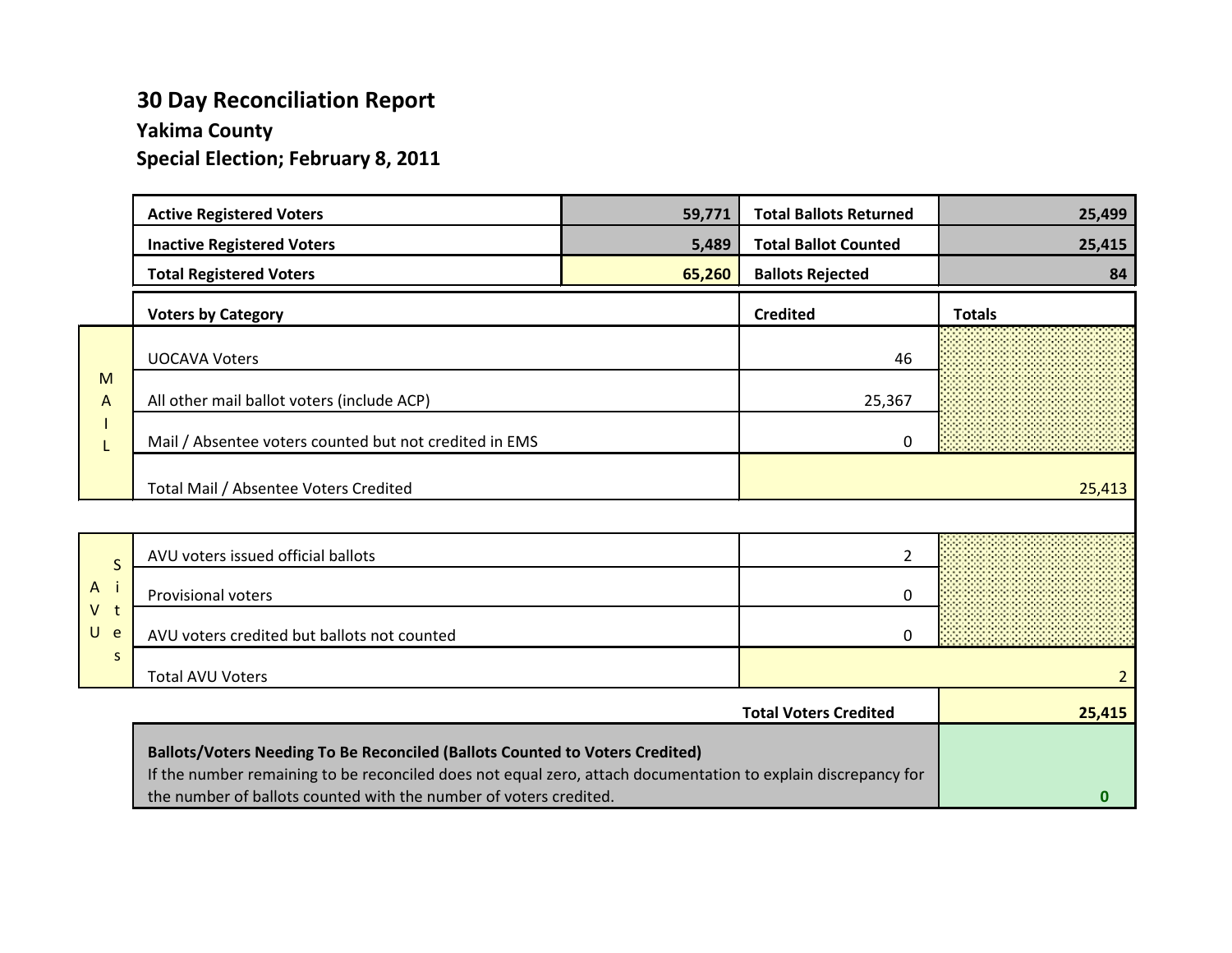# **30 Day Reconciliation Report**

# **Yakima County**

**Special Election; February 8, 2011**

|                              | <b>Active Registered Voters</b>                                                                               | 59,771 | <b>Total Ballots Returned</b> | 25,499         |
|------------------------------|---------------------------------------------------------------------------------------------------------------|--------|-------------------------------|----------------|
|                              | <b>Inactive Registered Voters</b>                                                                             | 5,489  | <b>Total Ballot Counted</b>   | 25,415         |
|                              | <b>Total Registered Voters</b>                                                                                | 65,260 | <b>Ballots Rejected</b>       | 84             |
|                              | <b>Voters by Category</b>                                                                                     |        | <b>Credited</b>               | <b>Totals</b>  |
|                              | <b>UOCAVA Voters</b>                                                                                          |        | 46                            |                |
| M<br>A                       | All other mail ballot voters (include ACP)                                                                    |        | 25,367                        |                |
| L                            | Mail / Absentee voters counted but not credited in EMS                                                        |        | 0                             |                |
|                              | Total Mail / Absentee Voters Credited                                                                         |        |                               | 25,413         |
|                              |                                                                                                               |        |                               |                |
| $\mathsf{S}$                 | AVU voters issued official ballots                                                                            |        | $\overline{2}$                |                |
| $\mathbf{i}$<br>$\mathsf{A}$ | Provisional voters                                                                                            |        | 0                             |                |
| $V$ t<br>$U$ e               | AVU voters credited but ballots not counted                                                                   |        | 0                             |                |
| S                            | <b>Total AVU Voters</b>                                                                                       |        |                               | $\overline{2}$ |
|                              |                                                                                                               |        | <b>Total Voters Credited</b>  | 25,415         |
|                              | Ballots/Voters Needing To Be Reconciled (Ballots Counted to Voters Credited)                                  |        |                               |                |
|                              | If the number remaining to be reconciled does not equal zero, attach documentation to explain discrepancy for |        |                               |                |

**0**

the number of ballots counted with the number of voters credited.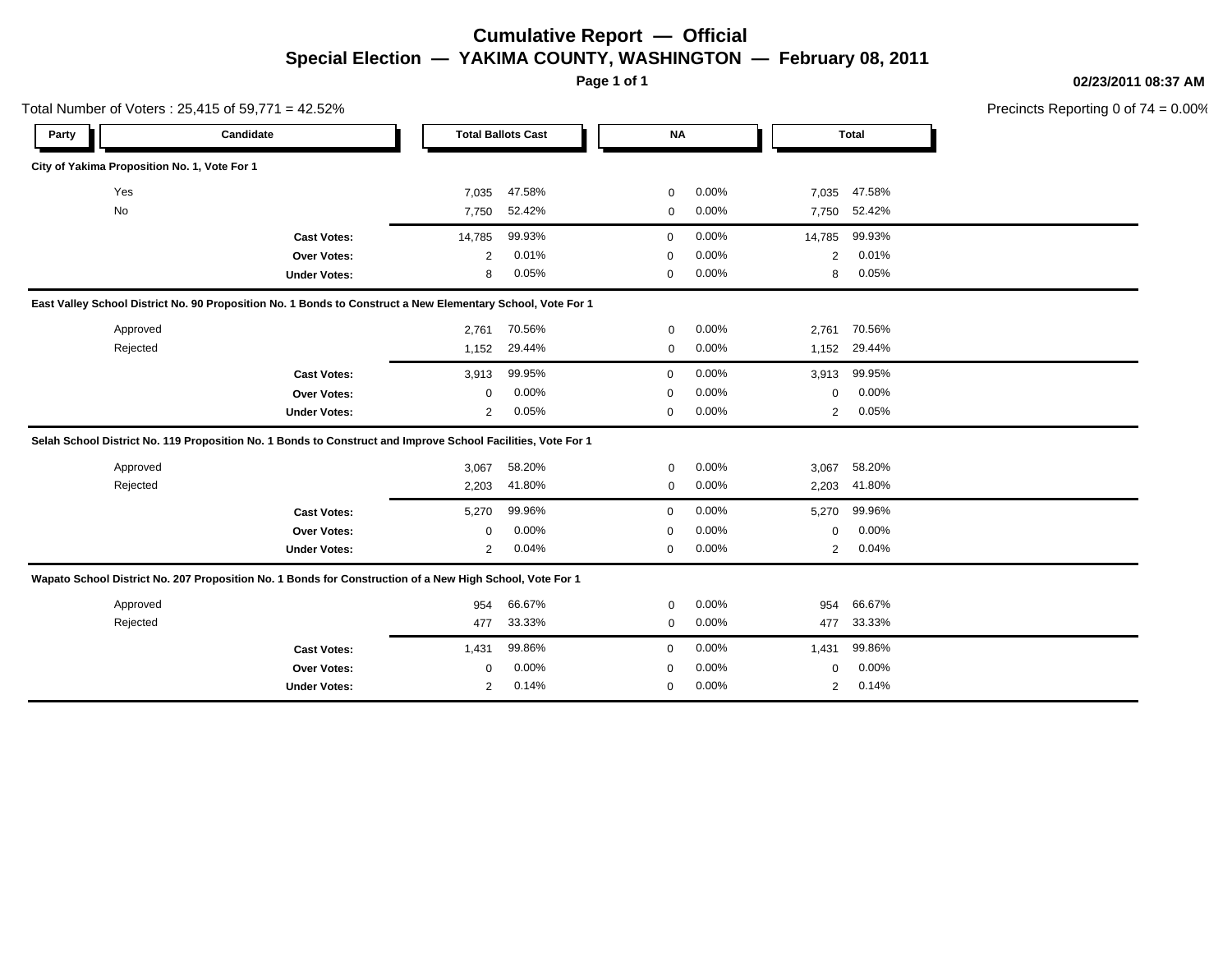### **Cumulative Report — Official Special Election — YAKIMA COUNTY, WASHINGTON — February 08, 2011**

Total Number of Voters : 25,415 of 59,771 = 42.52%

**Page 1 of 1 02/23/2011 08:37 AM** Precincts Reporting 0 of 74 = 0.00%

| Candidate<br>Party                                                                                           |                     |                | <b>Total Ballots Cast</b> | <b>NA</b>   |       |                | <b>Total</b> |  |
|--------------------------------------------------------------------------------------------------------------|---------------------|----------------|---------------------------|-------------|-------|----------------|--------------|--|
| City of Yakima Proposition No. 1, Vote For 1                                                                 |                     |                |                           |             |       |                |              |  |
| Yes                                                                                                          |                     | 7,035          | 47.58%                    | 0           | 0.00% | 7,035          | 47.58%       |  |
| No                                                                                                           |                     | 7,750          | 52.42%                    | 0           | 0.00% | 7,750          | 52.42%       |  |
|                                                                                                              | <b>Cast Votes:</b>  | 14,785         | 99.93%                    | $\mathbf 0$ | 0.00% | 14,785         | 99.93%       |  |
|                                                                                                              | <b>Over Votes:</b>  | $\overline{2}$ | 0.01%                     | $\mathbf 0$ | 0.00% | 2              | 0.01%        |  |
|                                                                                                              | <b>Under Votes:</b> | 8              | 0.05%                     | $\mathbf 0$ | 0.00% | 8              | 0.05%        |  |
| East Valley School District No. 90 Proposition No. 1 Bonds to Construct a New Elementary School, Vote For 1  |                     |                |                           |             |       |                |              |  |
| Approved                                                                                                     |                     | 2,761          | 70.56%                    | $\mathbf 0$ | 0.00% | 2,761          | 70.56%       |  |
| Rejected                                                                                                     |                     | 1,152          | 29.44%                    | $\mathbf 0$ | 0.00% | 1,152          | 29.44%       |  |
|                                                                                                              | <b>Cast Votes:</b>  | 3,913          | 99.95%                    | $\mathbf 0$ | 0.00% | 3,913          | 99.95%       |  |
|                                                                                                              | Over Votes:         | 0              | 0.00%                     | $\mathbf 0$ | 0.00% | 0              | 0.00%        |  |
|                                                                                                              | <b>Under Votes:</b> | $\overline{2}$ | 0.05%                     | $\mathbf 0$ | 0.00% | $\overline{2}$ | 0.05%        |  |
| Selah School District No. 119 Proposition No. 1 Bonds to Construct and Improve School Facilities, Vote For 1 |                     |                |                           |             |       |                |              |  |
| Approved                                                                                                     |                     | 3,067          | 58.20%                    | 0           | 0.00% | 3,067          | 58.20%       |  |
| Rejected                                                                                                     |                     | 2,203          | 41.80%                    | 0           | 0.00% | 2,203          | 41.80%       |  |
|                                                                                                              | <b>Cast Votes:</b>  | 5,270          | 99.96%                    | $\mathbf 0$ | 0.00% | 5,270          | 99.96%       |  |
|                                                                                                              | <b>Over Votes:</b>  | 0              | 0.00%                     | $\mathbf 0$ | 0.00% | 0              | 0.00%        |  |
|                                                                                                              | <b>Under Votes:</b> | 2              | 0.04%                     | 0           | 0.00% | 2              | 0.04%        |  |
| Wapato School District No. 207 Proposition No. 1 Bonds for Construction of a New High School, Vote For 1     |                     |                |                           |             |       |                |              |  |
| Approved                                                                                                     |                     | 954            | 66.67%                    | 0           | 0.00% | 954            | 66.67%       |  |
| Rejected                                                                                                     |                     | 477            | 33.33%                    | 0           | 0.00% | 477            | 33.33%       |  |
|                                                                                                              | <b>Cast Votes:</b>  | 1,431          | 99.86%                    | $\mathbf 0$ | 0.00% | 1,431          | 99.86%       |  |
|                                                                                                              | Over Votes:         | 0              | 0.00%                     | $\mathbf 0$ | 0.00% | 0              | 0.00%        |  |
|                                                                                                              | <b>Under Votes:</b> | 2              | 0.14%                     | 0           | 0.00% | 2              | 0.14%        |  |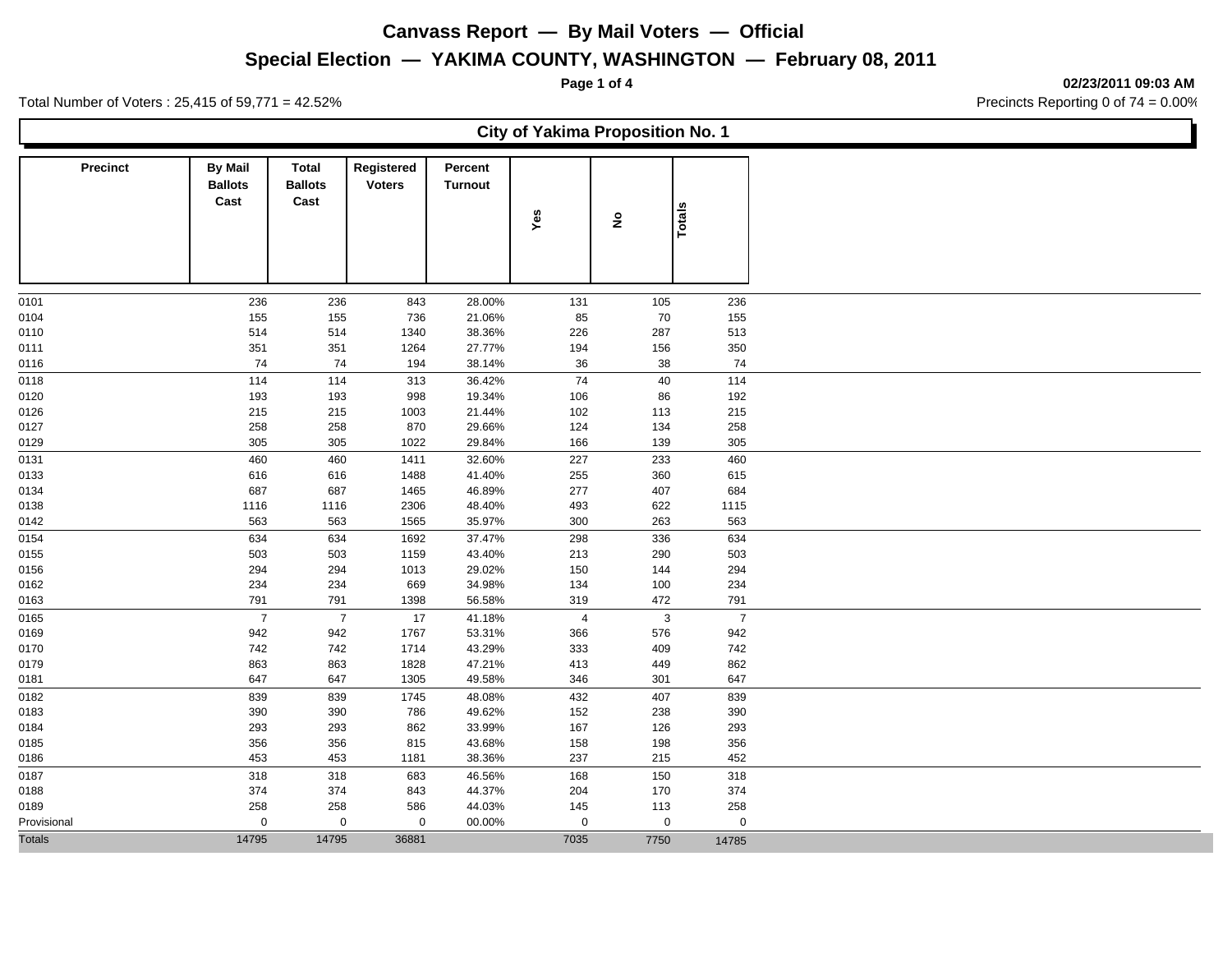**Special Election — YAKIMA COUNTY, WASHINGTON — February 08, 2011**

Total Number of Voters : 25,415 of 59,771 = 42.52% **Precincts Reporting 0 of 74** = 0.00%

**Page 1 of 4 02/23/2011 09:03 AM**

T.

|                 |                                          |                                        |                             |                           | <b>City of Yakima Proposition No. 1</b> |                    |                |
|-----------------|------------------------------------------|----------------------------------------|-----------------------------|---------------------------|-----------------------------------------|--------------------|----------------|
| <b>Precinct</b> | <b>By Mail</b><br><b>Ballots</b><br>Cast | <b>Total</b><br><b>Ballots</b><br>Cast | Registered<br><b>Voters</b> | Percent<br><b>Turnout</b> | Yes                                     | $\hat{\mathbf{z}}$ | Totals         |
| 0101            | 236                                      | 236                                    | 843                         | 28.00%                    | 131                                     | 105                | 236            |
| 0104            | 155                                      | 155                                    | 736                         | 21.06%                    | 85                                      | 70                 | 155            |
| 0110            | 514                                      | 514                                    | 1340                        | 38.36%                    | 226                                     | 287                | 513            |
| 0111            | 351                                      | 351                                    | 1264                        | 27.77%                    | 194                                     | 156                | 350            |
| 0116            | 74                                       | 74                                     | 194                         | 38.14%                    | 36                                      | 38                 | 74             |
| 0118            | 114                                      | 114                                    | 313                         | 36.42%                    | 74                                      | 40                 | 114            |
| 0120            | 193                                      | 193                                    | 998                         | 19.34%                    | 106                                     | 86                 | 192            |
| 0126            | 215                                      | 215                                    | 1003                        | 21.44%                    | 102                                     | 113                | 215            |
| 0127            | 258                                      | 258                                    | 870                         | 29.66%                    | 124                                     | 134                | 258            |
| 0129            | 305                                      | 305                                    | 1022                        | 29.84%                    | 166                                     | 139                | 305            |
| 0131            | 460                                      | 460                                    | 1411                        | 32.60%                    | 227                                     | 233                | 460            |
| 0133            | 616                                      | 616                                    | 1488                        | 41.40%                    | 255                                     | 360                | 615            |
| 0134            | 687                                      | 687                                    | 1465                        | 46.89%                    | 277                                     | 407                | 684            |
| 0138            | 1116                                     | 1116                                   | 2306                        | 48.40%                    | 493                                     | 622                | 1115           |
| 0142            | 563                                      | 563                                    | 1565                        | 35.97%                    | 300                                     | 263                | 563            |
| 0154            | 634                                      | 634                                    | 1692                        | 37.47%                    | 298                                     | 336                | 634            |
| 0155            | 503                                      | 503                                    | 1159                        | 43.40%                    | 213                                     | 290                | 503            |
| 0156            | 294                                      | 294                                    | 1013                        | 29.02%                    | 150                                     | 144                | 294            |
| 0162            | 234                                      | 234                                    | 669                         | 34.98%                    | 134                                     | 100                | 234            |
| 0163            | 791                                      | 791                                    | 1398                        | 56.58%                    | 319                                     | 472                | 791            |
| 0165            | $\overline{7}$                           | $\overline{7}$                         | 17                          | 41.18%                    | $\overline{4}$                          | $\mathbf{3}$       | $\overline{7}$ |
| 0169            | 942                                      | 942                                    | 1767                        | 53.31%                    | 366                                     | 576                | 942            |
| 0170            | 742                                      | 742                                    | 1714                        | 43.29%                    | 333                                     | 409                | 742            |
| 0179            | 863                                      | 863                                    | 1828                        | 47.21%                    | 413                                     | 449                | 862            |
| 0181            | 647                                      | 647                                    | 1305                        | 49.58%                    | 346                                     | 301                | 647            |
| 0182            | 839                                      | 839                                    | 1745                        | 48.08%                    | 432                                     | 407                | 839            |
| 0183            | 390                                      | 390                                    | 786                         | 49.62%                    | 152                                     | 238                | 390            |
|                 |                                          |                                        |                             |                           |                                         |                    |                |
| 0184            | 293                                      | 293                                    | 862                         | 33.99%                    | 167                                     | 126                | 293            |
| 0185            | 356<br>453                               | 356                                    | 815                         | 43.68%                    | 158<br>237                              | 198                | 356<br>452     |
| 0186            |                                          | 453                                    | 1181                        | 38.36%                    |                                         | 215                |                |
| 0187            | 318                                      | 318                                    | 683                         | 46.56%                    | 168                                     | 150                | 318            |
| 0188            | 374                                      | 374                                    | 843                         | 44.37%                    | 204                                     | 170                | 374            |
| 0189            | 258                                      | 258                                    | 586                         | 44.03%                    | 145                                     | 113                | 258            |
| Provisional     | $\mathbf 0$                              | $\mathbf 0$                            | $\mathbf 0$                 | 00.00%                    | $\mathbf 0$                             | $\mathbf 0$        | $\mathbf 0$    |
| <b>Totals</b>   | 14795                                    | 14795                                  | 36881                       |                           | 7035                                    | 7750               | 14785          |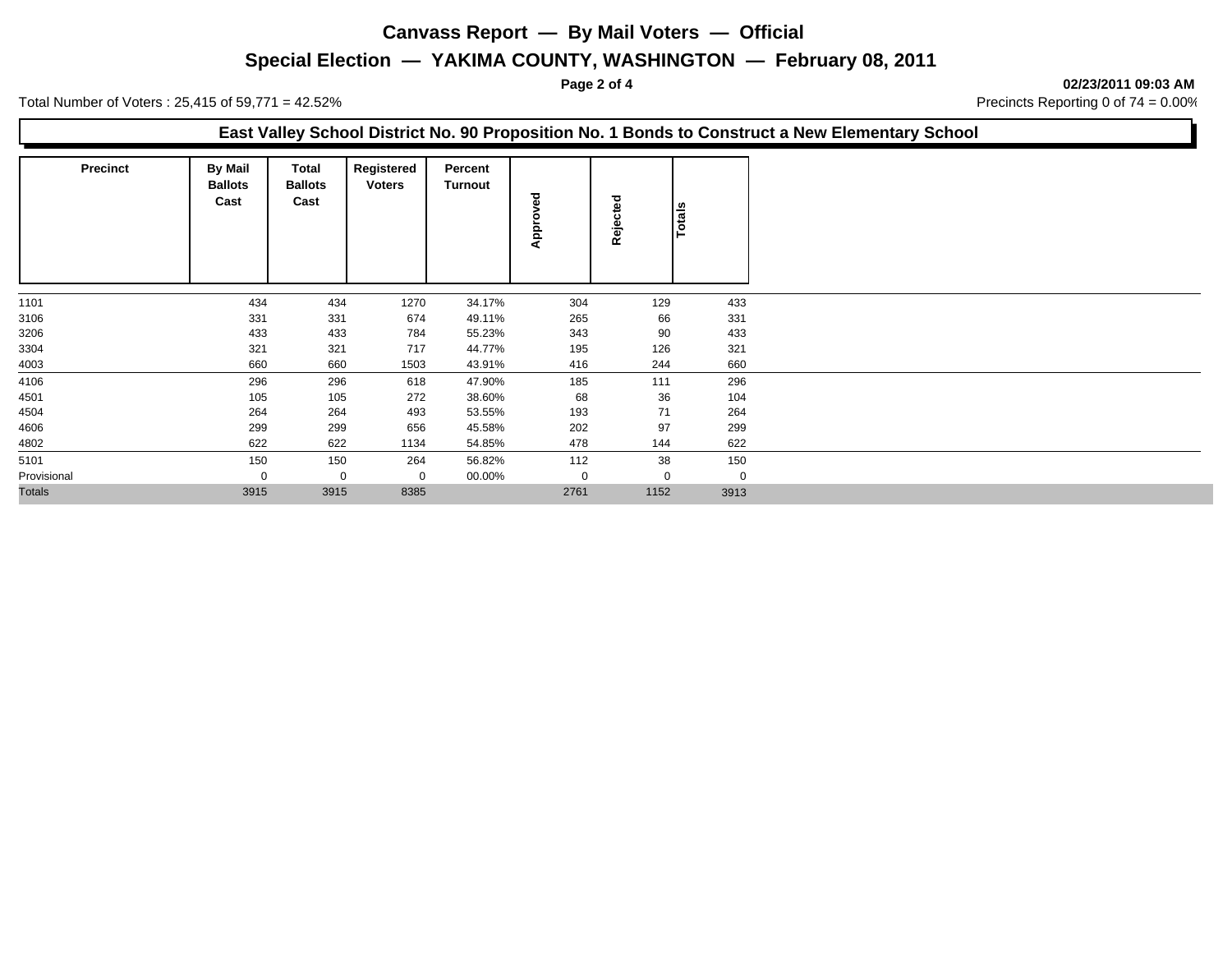## **Special Election — YAKIMA COUNTY, WASHINGTON — February 08, 2011**

**Page 2 of 4 02/23/2011 09:03 AM**

|                 | Total Number of Voters: $25,415$ of $59,771 = 42.52\%$ |                                 |                             |                           |      | . ugu 4 vi 7 |               | <u>VEILVILVIT VJ.VJ MIN</u><br>Precincts Reporting 0 of 74 = 0.00%                              |
|-----------------|--------------------------------------------------------|---------------------------------|-----------------------------|---------------------------|------|--------------|---------------|-------------------------------------------------------------------------------------------------|
|                 |                                                        |                                 |                             |                           |      |              |               | East Valley School District No. 90 Proposition No. 1 Bonds to Construct a New Elementary School |
| <b>Precinct</b> | <b>By Mail</b><br><b>Ballots</b><br>Cast               | Total<br><b>Ballots</b><br>Cast | Registered<br><b>Voters</b> | Percent<br><b>Turnout</b> | Appr | Rejected     | <b>Totals</b> |                                                                                                 |
| 1101            | 434                                                    | 434                             | 1270                        | 34.17%                    | 304  | 129          | 433           |                                                                                                 |
| 3106            | 331                                                    | 331                             | 674                         | 49.11%                    | 265  | 66           | 331           |                                                                                                 |
| 3206            | 433                                                    | 433                             | 784                         | 55.23%                    | 343  | 90           | 433           |                                                                                                 |
| 3304            | 321                                                    | 321                             | 717                         | 44.77%                    | 195  | 126          | 321           |                                                                                                 |
| 4003            | 660                                                    | 660                             | 1503                        | 43.91%                    | 416  | 244          | 660           |                                                                                                 |
| 4106            | 296                                                    | 296                             | 618                         | 47.90%                    | 185  | 111          | 296           |                                                                                                 |
| 4501            | 105                                                    | 105                             | 272                         | 38.60%                    | 68   | 36           | 104           |                                                                                                 |
| 4504            | 264                                                    | 264                             | 493                         | 53.55%                    | 193  | 71           | 264           |                                                                                                 |
| 4606            | 299                                                    | 299                             | 656                         | 45.58%                    | 202  | 97           | 299           |                                                                                                 |
| 4802            | 622                                                    | 622                             | 1134                        | 54.85%                    | 478  | 144          | 622           |                                                                                                 |
| 5101            | 150                                                    | 150                             | 264                         | 56.82%                    | 112  | 38           | 150           |                                                                                                 |
| Provisional     |                                                        | $\mathbf 0$                     | 0                           | 00.00%                    |      | $\Omega$     | 0             |                                                                                                 |
| <b>Totals</b>   | 3915                                                   | 3915                            | 8385                        |                           | 2761 | 1152         | 3913          |                                                                                                 |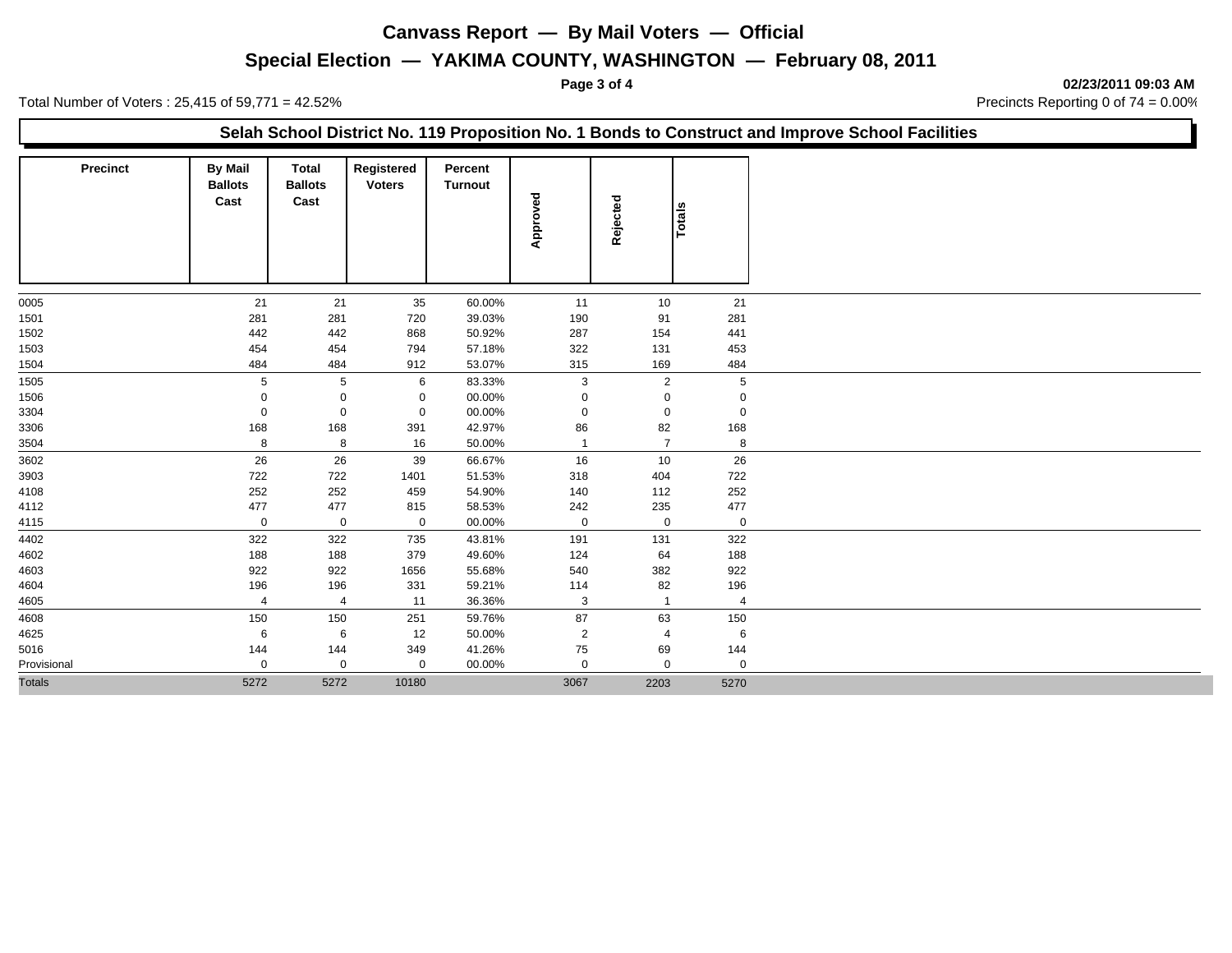### **Special Election — YAKIMA COUNTY, WASHINGTON — February 08, 2011**

**Page 3 of 4 02/23/2011 09:03 AM**

Total Number of Voters : 25,415 of 59,771 = 42.52% Total Number of Voters : 25,415 of 59,771 = 42.52%

|                 |                                          |                                        |                             |                           |                |                |             | Selah School District No. 119 Proposition No. 1 Bonds to Construct and Improve School Facilities |
|-----------------|------------------------------------------|----------------------------------------|-----------------------------|---------------------------|----------------|----------------|-------------|--------------------------------------------------------------------------------------------------|
| <b>Precinct</b> | <b>By Mail</b><br><b>Ballots</b><br>Cast | <b>Total</b><br><b>Ballots</b><br>Cast | Registered<br><b>Voters</b> | Percent<br><b>Turnout</b> | Approved       | Rejected       | Totals      |                                                                                                  |
| 0005            | 21                                       | 21                                     | 35                          | 60.00%                    | 11             | 10             | 21          |                                                                                                  |
| 1501            | 281                                      | 281                                    | 720                         | 39.03%                    | 190            | 91             | 281         |                                                                                                  |
| 1502            | 442                                      | 442                                    | 868                         | 50.92%                    | 287            | 154            | 441         |                                                                                                  |
| 1503            | 454                                      | 454                                    | 794                         | 57.18%                    | 322            | 131            | 453         |                                                                                                  |
| 1504            | 484                                      | 484                                    | 912                         | 53.07%                    | 315            | 169            | 484         |                                                                                                  |
| 1505            | 5                                        | 5                                      | 6                           | 83.33%                    | 3              | 2              | 5           |                                                                                                  |
| 1506            |                                          | 0                                      | 0                           | 00.00%                    | $\Omega$       | 0              | $\Omega$    |                                                                                                  |
| 3304            | $\mathbf 0$                              | 0                                      | $\mathbf 0$                 | 00.00%                    | $\mathbf{0}$   | 0              | $\mathbf 0$ |                                                                                                  |
| 3306            | 168                                      | 168                                    | 391                         | 42.97%                    | 86             | 82             | 168         |                                                                                                  |
| 3504            | 8                                        | 8                                      | 16                          | 50.00%                    | $\overline{1}$ | $\overline{7}$ | 8           |                                                                                                  |
| 3602            | 26                                       | 26                                     | 39                          | 66.67%                    | 16             | 10             | 26          |                                                                                                  |
| 3903            | 722                                      | 722                                    | 1401                        | 51.53%                    | 318            | 404            | 722         |                                                                                                  |
| 4108            | 252                                      | 252                                    | 459                         | 54.90%                    | 140            | 112            | 252         |                                                                                                  |
| 4112            | 477                                      | 477                                    | 815                         | 58.53%                    | 242            | 235            | 477         |                                                                                                  |
| 4115            | $\mathbf 0$                              | $\mathbf 0$                            | $\mathbf 0$                 | 00.00%                    | $\mathbf 0$    | $\mathbf 0$    | $\mathbf 0$ |                                                                                                  |
| 4402            | 322                                      | 322                                    | 735                         | 43.81%                    | 191            | 131            | 322         |                                                                                                  |
| 4602            | 188                                      | 188                                    | 379                         | 49.60%                    | 124            | 64             | 188         |                                                                                                  |
| 4603            | 922                                      | 922                                    | 1656                        | 55.68%                    | 540            | 382            | 922         |                                                                                                  |
| 4604            | 196                                      | 196                                    | 331                         | 59.21%                    | 114            | 82             | 196         |                                                                                                  |
| 4605            | $\overline{4}$                           | $\overline{4}$                         | 11                          | 36.36%                    | 3              |                |             |                                                                                                  |
| 4608            | 150                                      | 150                                    | 251                         | 59.76%                    | 87             | 63             | 150         |                                                                                                  |
| 4625            | 6                                        | 6                                      | 12                          | 50.00%                    | 2              | 4              | 6           |                                                                                                  |
| 5016            | 144                                      | 144                                    | 349                         | 41.26%                    | 75             | 69             | 144         |                                                                                                  |
| Provisional     | $\mathbf 0$                              | 0                                      | 0                           | 00.00%                    | $\mathbf 0$    | $\mathbf 0$    | $\mathbf 0$ |                                                                                                  |
| <b>Totals</b>   | 5272                                     | 5272                                   | 10180                       |                           | 3067           | 2203           | 5270        |                                                                                                  |